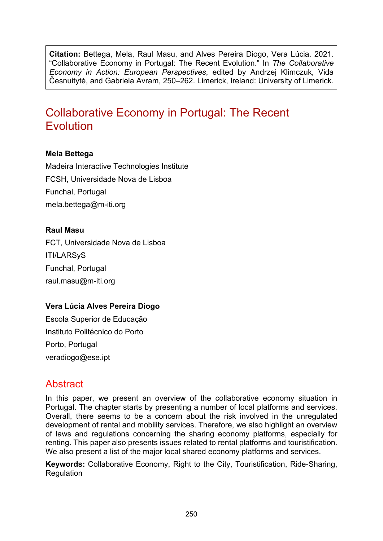**Citation:** Bettega, Mela, Raul Masu, and Alves Pereira Diogo, Vera Lúcia. 2021. "Collaborative Economy in Portugal: The Recent Evolution." In *The Collaborative Economy in Action: European Perspectives*, edited by Andrzej Klimczuk, Vida Česnuitytė, and Gabriela Avram, 250–262. Limerick, Ireland: University of Limerick.

# Collaborative Economy in Portugal: The Recent Evolution

#### **Mela Bettega**

Madeira Interactive Technologies Institute FCSH, Universidade Nova de Lisboa Funchal, Portugal [mela.bettega@m](mailto:mela.bettega@m-iti.org)-iti.org

#### **Raul Masu**

FCT, Universidade Nova de Lisboa ITI/LARSyS Funchal, Portugal [raul.masu@m-iti.org](mailto:raul.masu@m-iti.org)

#### **Vera Lúcia Alves Pereira Diogo**

Escola Superior de Educação Instituto Politécnico do Porto Porto, Portugal [veradiogo@ese.ipt](mailto:veradiogo@ese.ipp.pt)

# **Abstract**

In this paper, we present an overview of the collaborative economy situation in Portugal. The chapter starts by presenting a number of local platforms and services. Overall, there seems to be a concern about the risk involved in the unregulated development of rental and mobility services. Therefore, we also highlight an overview of laws and regulations concerning the sharing economy platforms, especially for renting. This paper also presents issues related to rental platforms and touristification. We also present a list of the major local shared economy platforms and services.

**Keywords:** Collaborative Economy, Right to the City, Touristification, Ride-Sharing, **Regulation**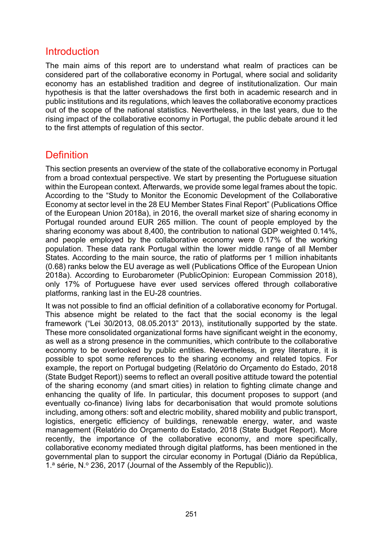### Introduction

The main aims of this report are to understand what realm of practices can be considered part of the collaborative economy in Portugal, where social and solidarity economy has an established tradition and degree of institutionalization. Our main hypothesis is that the latter overshadows the first both in academic research and in public institutions and its regulations, which leaves the collaborative economy practices out of the scope of the national statistics. Nevertheless, in the last years, due to the rising impact of the collaborative economy in Portugal, the public debate around it led to the first attempts of regulation of this sector.

# **Definition**

This section presents an overview of the state of the collaborative economy in Portugal from a broad contextual perspective. We start by presenting the Portuguese situation within the European context. Afterwards, we provide some legal frames about the topic. According to the "Study to Monitor the Economic Development of the Collaborative Economy at sector level in the 28 EU Member States Final Report" (Publications Office of the European Union 2018a), in 2016, the overall market size of sharing economy in Portugal rounded around EUR 265 million. The count of people employed by the sharing economy was about 8,400, the contribution to national GDP weighted 0.14%, and people employed by the collaborative economy were 0.17% of the working population. These data rank Portugal within the lower middle range of all Member States. According to the main source, the ratio of platforms per 1 million inhabitants (0.68) ranks below the EU average as well (Publications Office of the European Union 2018a). According to Eurobarometer (PublicOpinion: European Commission 2018), only 17% of Portuguese have ever used services offered through collaborative platforms, ranking last in the EU-28 countries.

It was not possible to find an official definition of a collaborative economy for Portugal. This absence might be related to the fact that the social economy is the legal framework ("Lei 30/2013, 08.05.2013" 2013), institutionally supported by the state. These more consolidated organizational forms have significant weight in the economy, as well as a strong presence in the communities, which contribute to the collaborative economy to be overlooked by public entities. Nevertheless, in grey literature, it is possible to spot some references to the sharing economy and related topics. For example, the report on Portugal budgeting (Relatório do Orçamento do Estado, 2018 (State Budget Report)) seems to reflect an overall positive attitude toward the potential of the sharing economy (and smart cities) in relation to fighting climate change and enhancing the quality of life. In particular, this document proposes to support (and eventually co-finance) living labs for decarbonisation that would promote solutions including, among others: soft and electric mobility, shared mobility and public transport, logistics, energetic efficiency of buildings, renewable energy, water, and waste management (Relatório do Orçamento do Estado, 2018 (State Budget Report). More recently, the importance of the collaborative economy, and more specifically, collaborative economy mediated through digital platforms, has been mentioned in the governmental plan to support the circular economy in Portugal (Diário da República, 1.<sup>a</sup> série, N.º 236, 2017 (Journal of the Assembly of the Republic)).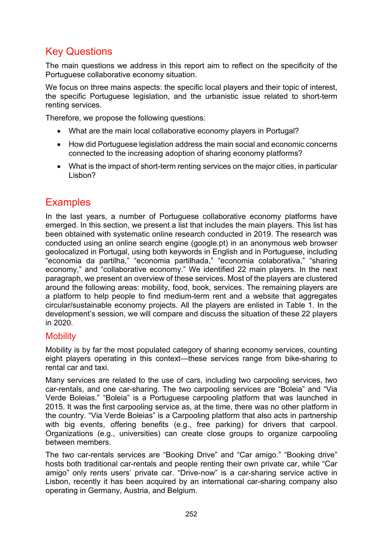# Key Questions

The main questions we address in this report aim to reflect on the specificity of the Portuguese collaborative economy situation.

We focus on three mains aspects: the specific local players and their topic of interest, the specific Portuguese legislation, and the urbanistic issue related to short-term renting services.

Therefore, we propose the following questions:

- What are the main local collaborative economy players in Portugal?
- How did Portuguese legislation address the main social and economic concerns connected to the increasing adoption of sharing economy platforms?
- What is the impact of short-term renting services on the major cities, in particular Lisbon?

# **Examples**

In the last years, a number of Portuguese collaborative economy platforms have emerged. In this section, we present a list that includes the main players. This list has been obtained with systematic online research conducted in 2019. The research was conducted using an online search engine (google.pt) in an anonymous web browser geolocalized in Portugal, using both keywords in English and in Portuguese, including "economia da partilha," "economia partilhada," "economia colaborativa," "sharing economy," and "collaborative economy." We identified 22 main players. In the next paragraph, we present an overview of these services. Most of the players are clustered around the following areas: mobility, food, book, services. The remaining players are a platform to help people to find medium-term rent and a website that aggregates circular/sustainable economy projects. All the players are enlisted in Table 1. In the development's session, we will compare and discuss the situation of these 22 players in 2020.

#### **Mobility**

Mobility is by far the most populated category of sharing economy services, counting eight players operating in this context—these services range from bike-sharing to rental car and taxi.

Many services are related to the use of cars, including two carpooling services, two car-rentals, and one car-sharing. The two carpooling services are "Boleia" and "Via Verde Boleias." "Boleia" is a Portuguese carpooling platform that was launched in 2015. It was the first carpooling service as, at the time, there was no other platform in the country. "Via Verde Boleias" is a Carpooling platform that also acts in partnership with big events, offering benefits (e.g., free parking) for drivers that carpool. Organizations (e.g., universities) can create close groups to organize carpooling between members.

The two car-rentals services are "Booking Drive" and "Car amigo." "Booking drive" hosts both traditional car-rentals and people renting their own private car, while "Car amigo" only rents users' private car. "Drive-now" is a car-sharing service active in Lisbon, recently it has been acquired by an international car-sharing company also operating in Germany, Austria, and Belgium.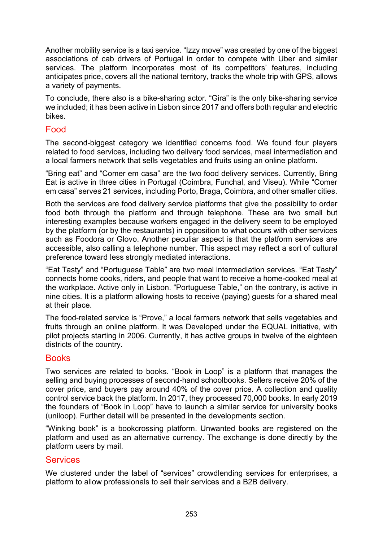Another mobility service is a taxi service. "Izzy move" was created by one of the biggest associations of cab drivers of Portugal in order to compete with Uber and similar services. The platform incorporates most of its competitors' features, including anticipates price, covers all the national territory, tracks the whole trip with GPS, allows a variety of payments.

To conclude, there also is a bike-sharing actor. "Gira" is the only bike-sharing service we included; it has been active in Lisbon since 2017 and offers both regular and electric bikes.

#### Food

The second-biggest category we identified concerns food. We found four players related to food services, including two delivery food services, meal intermediation and a local farmers network that sells vegetables and fruits using an online platform.

"Bring eat" and "Comer em casa" are the two food delivery services. Currently, Bring Eat is active in three cities in Portugal (Coimbra, Funchal, and Viseu). While "Comer em casa" serves 21 services, including Porto, Braga, Coimbra, and other smaller cities.

Both the services are food delivery service platforms that give the possibility to order food both through the platform and through telephone. These are two small but interesting examples because workers engaged in the delivery seem to be employed by the platform (or by the restaurants) in opposition to what occurs with other services such as Foodora or Glovo. Another peculiar aspect is that the platform services are accessible, also calling a telephone number. This aspect may reflect a sort of cultural preference toward less strongly mediated interactions.

"Eat Tasty" and "Portuguese Table" are two meal intermediation services. "Eat Tasty" connects home cooks, riders, and people that want to receive a home-cooked meal at the workplace. Active only in Lisbon. "Portuguese Table," on the contrary, is active in nine cities. It is a platform allowing hosts to receive (paying) guests for a shared meal at their place.

The food-related service is "Prove," a local farmers network that sells vegetables and fruits through an online platform. It was Developed under the EQUAL initiative, with pilot projects starting in 2006. Currently, it has active groups in twelve of the eighteen districts of the country.

#### Books

Two services are related to books. "Book in Loop" is a platform that manages the selling and buying processes of second-hand schoolbooks. Sellers receive 20% of the cover price, and buyers pay around 40% of the cover price. A collection and quality control service back the platform. In 2017, they processed 70,000 books. In early 2019 the founders of "Book in Loop" have to launch a similar service for university books (uniloop). Further detail will be presented in the developments section.

"Winking book" is a bookcrossing platform. Unwanted books are registered on the platform and used as an alternative currency. The exchange is done directly by the platform users by mail.

#### **Services**

We clustered under the label of "services" crowdlending services for enterprises, a platform to allow professionals to sell their services and a B2B delivery.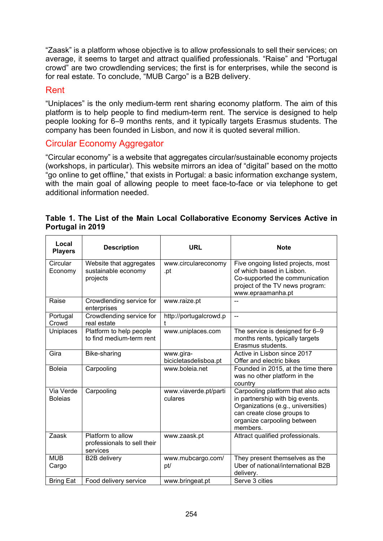"Zaask" is a platform whose objective is to allow professionals to sell their services; on average, it seems to target and attract qualified professionals. "Raise" and "Portugal crowd" are two crowdlending services; the first is for enterprises, while the second is for real estate. To conclude, "MUB Cargo" is a B2B delivery.

#### Rent

"Uniplaces" is the only medium-term rent sharing economy platform. The aim of this platform is to help people to find medium-term rent. The service is designed to help people looking for 6–9 months rents, and it typically targets Erasmus students. The company has been founded in Lisbon, and now it is quoted several million.

#### Circular Economy Aggregator

"Circular economy" is a website that aggregates circular/sustainable economy projects (workshops, in particular). This website mirrors an idea of "digital" based on the motto "go online to get offline," that exists in Portugal: a basic information exchange system, with the main goal of allowing people to meet face-to-face or via telephone to get additional information needed.

|                  |  | Table 1. The List of the Main Local Collaborative Economy Services Active in |  |  |
|------------------|--|------------------------------------------------------------------------------|--|--|
| Portugal in 2019 |  |                                                                              |  |  |

| Local<br><b>Players</b>     | <b>Description</b>                                           | <b>URL</b>                         | <b>Note</b>                                                                                                                                                                          |
|-----------------------------|--------------------------------------------------------------|------------------------------------|--------------------------------------------------------------------------------------------------------------------------------------------------------------------------------------|
| Circular<br>Economy         | Website that aggregates<br>sustainable economy<br>projects   | www.circulareconomy<br>.pt         | Five ongoing listed projects, most<br>of which based in Lisbon.<br>Co-supported the communication<br>project of the TV news program:<br>www.epraamanha.pt                            |
| Raise                       | Crowdlending service for<br>enterprises                      | www.raize.pt                       |                                                                                                                                                                                      |
| Portugal<br>Crowd           | Crowdlending service for<br>real estate                      | http://portugalcrowd.p<br>t        | $\overline{a}$                                                                                                                                                                       |
| Uniplaces                   | Platform to help people<br>to find medium-term rent          | www.uniplaces.com                  | The service is designed for 6-9<br>months rents, typically targets<br>Erasmus students.                                                                                              |
| Gira                        | Bike-sharing                                                 | www.gira-<br>bicicletasdelisboa.pt | Active in Lisbon since 2017<br>Offer and electric bikes                                                                                                                              |
| <b>Boleia</b>               | Carpooling                                                   | www.boleia.net                     | Founded in 2015, at the time there<br>was no other platform in the<br>country                                                                                                        |
| Via Verde<br><b>Boleias</b> | Carpooling                                                   | www.viaverde.pt/parti<br>culares   | Carpooling platform that also acts<br>in partnership with big events.<br>Organizations (e.g., universities)<br>can create close groups to<br>organize carpooling between<br>members. |
| Zaask                       | Platform to allow<br>professionals to sell their<br>services | www.zaask.pt                       | Attract qualified professionals.                                                                                                                                                     |
| <b>MUB</b><br>Cargo         | <b>B2B delivery</b>                                          | www.mubcargo.com/<br>pt/           | They present themselves as the<br>Uber of national/international B2B<br>delivery.                                                                                                    |
| <b>Bring Eat</b>            | Food delivery service                                        | www.bringeat.pt                    | Serve 3 cities                                                                                                                                                                       |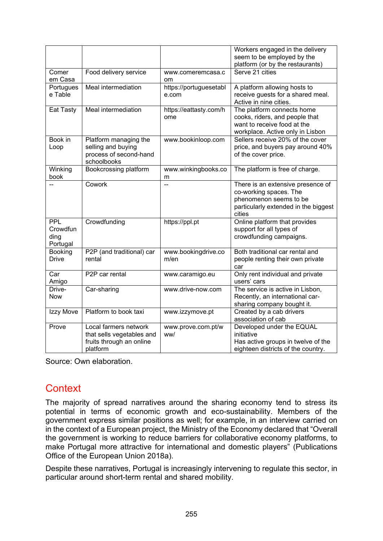|                                            |                                                                                            |                                 | Workers engaged in the delivery<br>seem to be employed by the                                                                           |
|--------------------------------------------|--------------------------------------------------------------------------------------------|---------------------------------|-----------------------------------------------------------------------------------------------------------------------------------------|
|                                            |                                                                                            |                                 | platform (or by the restaurants)                                                                                                        |
| Comer<br>em Casa                           | Food delivery service                                                                      | www.comeremcasa.c<br><b>om</b>  | Serve 21 cities                                                                                                                         |
| Portugues<br>e Table                       | Meal intermediation                                                                        | https://portuguesetabl<br>e.com | A platform allowing hosts to<br>receive guests for a shared meal.<br>Active in nine cities.                                             |
| Eat Tasty                                  | Meal intermediation                                                                        | https://eattasty.com/h<br>ome   | The platform connects home<br>cooks, riders, and people that<br>want to receive food at the<br>workplace. Active only in Lisbon         |
| Book in<br>Loop                            | Platform managing the<br>selling and buying<br>process of second-hand<br>schoolbooks       | www.bookinloop.com              | Sellers receive 20% of the cover<br>price, and buyers pay around 40%<br>of the cover price.                                             |
| Winking<br>book                            | Bookcrossing platform                                                                      | www.winkingbooks.co<br>m        | The platform is free of charge.                                                                                                         |
|                                            | Cowork                                                                                     |                                 | There is an extensive presence of<br>co-working spaces. The<br>phenomenon seems to be<br>particularly extended in the biggest<br>cities |
| <b>PPL</b><br>Crowdfun<br>ding<br>Portugal | Crowdfunding                                                                               | https://ppl.pt                  | Online platform that provides<br>support for all types of<br>crowdfunding campaigns.                                                    |
| Booking<br><b>Drive</b>                    | P2P (and traditional) car<br>rental                                                        | www.bookingdrive.co<br>m/en     | Both traditional car rental and<br>people renting their own private<br>car                                                              |
| Car<br>Amigo                               | P <sub>2</sub> P car rental                                                                | www.caramigo.eu                 | Only rent individual and private<br>users' cars                                                                                         |
| Drive-<br><b>Now</b>                       | Car-sharing                                                                                | www.drive-now.com               | The service is active in Lisbon,<br>Recently, an international car-<br>sharing company bought it.                                       |
| Izzy Move                                  | Platform to book taxi                                                                      | www.izzymove.pt                 | Created by a cab drivers<br>association of cab                                                                                          |
| Prove                                      | Local farmers network<br>that sells vegetables and<br>fruits through an online<br>platform | www.prove.com.pt/w<br>ww/       | Developed under the EQUAL<br>initiative<br>Has active groups in twelve of the<br>eighteen districts of the country.                     |

Source: Own elaboration.

# **Context**

The majority of spread narratives around the sharing economy tend to stress its potential in terms of economic growth and eco-sustainability. Members of the government express similar positions as well; for example, in an interview carried on in the context of a European project, the Ministry of the Economy declared that "Overall the government is working to reduce barriers for collaborative economy platforms, to make Portugal more attractive for international and domestic players" (Publications Office of the European Union 2018a).

Despite these narratives, Portugal is increasingly intervening to regulate this sector, in particular around short-term rental and shared mobility.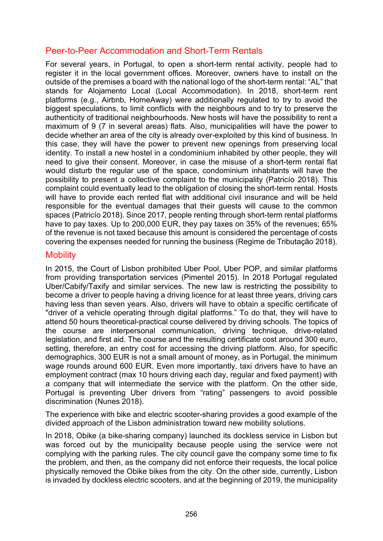### Peer-to-Peer Accommodation and Short-Term Rentals

For several years, in Portugal, to open a short-term rental activity, people had to register it in the local government offices. Moreover, owners have to install on the outside of the premises a board with the national logo of the short-term rental: "AL" that stands for Alojamento Local (Local Accommodation). In 2018, short-term rent platforms (e.g., Airbnb, HomeAway) were additionally regulated to try to avoid the biggest speculations, to limit conflicts with the neighbours and to try to preserve the authenticity of traditional neighbourhoods. New hosts will have the possibility to rent a maximum of 9 (7 in several areas) flats. Also, municipalities will have the power to decide whether an area of the city is already over-exploited by this kind of business. In this case, they will have the power to prevent new openings from preserving local identity. To install a new hostel in a condominium inhabited by other people, they will need to give their consent. Moreover, in case the misuse of a short-term rental flat would disturb the regular use of the space, condominium inhabitants will have the possibility to present a collective complaint to the municipality (Patricío 2018). This complaint could eventually lead to the obligation of closing the short-term rental. Hosts will have to provide each rented flat with additional civil insurance and will be held responsible for the eventual damages that their guests will cause to the common spaces (Patricío 2018). Since 2017, people renting through short-term rental platforms have to pay taxes. Up to 200,000 EUR, they pay taxes on 35% of the revenues; 65% of the revenue is not taxed because this amount is considered the percentage of costs covering the expenses needed for running the business (Regime de Tributação 2018).

#### **Mobility**

In 2015, the Court of Lisbon prohibited Uber Pool, Uber POP, and similar platforms from providing transportation services (Pimentel 2015). In 2018 Portugal regulated Uber/Cabify/Taxify and similar services. The new law is restricting the possibility to become a driver to people having a driving licence for at least three years, driving cars having less than seven years. Also, drivers will have to obtain a specific certificate of "driver of a vehicle operating through digital platforms." To do that, they will have to attend 50 hours theoretical-practical course delivered by driving schools. The topics of the course are interpersonal communication, driving technique, drive-related legislation, and first aid. The course and the resulting certificate cost around 300 euro, setting, therefore, an entry cost for accessing the driving platform. Also, for specific demographics, 300 EUR is not a small amount of money, as in Portugal, the minimum wage rounds around 600 EUR. Even more importantly, taxi drivers have to have an employment contract (max 10 hours driving each day, regular and fixed payment) with a company that will intermediate the service with the platform. On the other side, Portugal is preventing Uber drivers from "rating" passengers to avoid possible discrimination (Nunes 2018).

The experience with bike and electric scooter-sharing provides a good example of the divided approach of the Lisbon administration toward new mobility solutions.

In 2018, Obike (a bike-sharing company) launched its dockless service in Lisbon but was forced out by the municipality because people using the service were not complying with the parking rules. The city council gave the company some time to fix the problem, and then, as the company did not enforce their requests, the local police physically removed the Obike bikes from the city. On the other side, currently, Lisbon is invaded by dockless electric scooters, and at the beginning of 2019, the municipality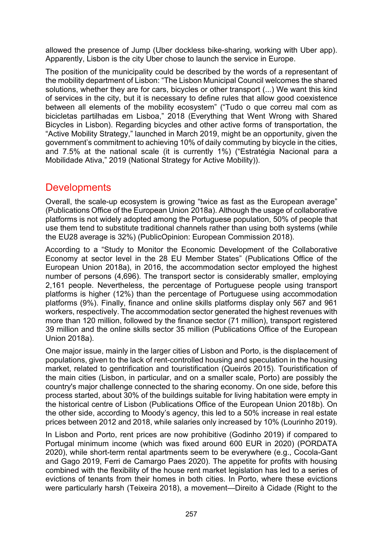allowed the presence of Jump (Uber dockless bike-sharing, working with Uber app). Apparently, Lisbon is the city Uber chose to launch the service in Europe.

The position of the municipality could be described by the words of a representant of the mobility department of Lisbon: "The Lisbon Municipal Council welcomes the shared solutions, whether they are for cars, bicycles or other transport (...) We want this kind of services in the city, but it is necessary to define rules that allow good coexistence between all elements of the mobility ecosystem" ("Tudo o que correu mal com as bicicletas partilhadas em Lisboa," 2018 (Everything that Went Wrong with Shared Bicycles in Lisbon). Regarding bicycles and other active forms of transportation, the "Active Mobility Strategy," launched in March 2019, might be an opportunity, given the government's commitment to achieving 10% of daily commuting by bicycle in the cities, and 7.5% at the national scale (it is currently 1%) ("Estratégia Nacional para a Mobilidade Ativa," 2019 (National Strategy for Active Mobility)).

### **Developments**

Overall, the scale-up ecosystem is growing "twice as fast as the European average" (Publications Office of the European Union 2018a). Although the usage of collaborative platforms is not widely adopted among the Portuguese population, 50% of people that use them tend to substitute traditional channels rather than using both systems (while the EU28 average is 32%) (PublicOpinion: European Commission 2018).

According to a "Study to Monitor the Economic Development of the Collaborative Economy at sector level in the 28 EU Member States" (Publications Office of the European Union 2018a), in 2016, the accommodation sector employed the highest number of persons (4,696). The transport sector is considerably smaller, employing 2,161 people. Nevertheless, the percentage of Portuguese people using transport platforms is higher (12%) than the percentage of Portuguese using accommodation platforms (9%). Finally, finance and online skills platforms display only 567 and 961 workers, respectively. The accommodation sector generated the highest revenues with more than 120 million, followed by the finance sector (71 million), transport registered 39 million and the online skills sector 35 million (Publications Office of the European Union 2018a).

One major issue, mainly in the larger cities of Lisbon and Porto, is the displacement of populations, given to the lack of rent-controlled housing and speculation in the housing market, related to gentrification and touristification (Queirós 2015). Touristification of the main cities (Lisbon, in particular, and on a smaller scale, Porto) are possibly the country's major challenge connected to the sharing economy. On one side, before this process started, about 30% of the buildings suitable for living habitation were empty in the historical centre of Lisbon (Publications Office of the European Union 2018b). On the other side, according to Moody's agency, this led to a 50% increase in real estate prices between 2012 and 2018, while salaries only increased by 10% (Lourinho 2019).

In Lisbon and Porto, rent prices are now prohibitive (Godinho 2019) if compared to Portugal minimum income (which was fixed around 600 EUR in 2020) (PORDATA 2020), while short-term rental apartments seem to be everywhere (e.g., Cocola-Gant and Gago 2019, Ferri de Camargo Paes 2020). The appetite for profits with housing combined with the flexibility of the house rent market legislation has led to a series of evictions of tenants from their homes in both cities. In Porto, where these evictions were particularly harsh (Teixeira 2018), a movement—Direito à Cidade (Right to the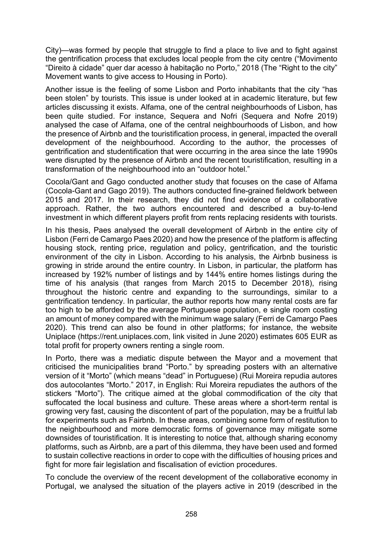City)—was formed by people that struggle to find a place to live and to fight against the gentrification process that excludes local people from the city centre ("Movimento "Direito à cidade" quer dar acesso à habitação no Porto," 2018 (The "Right to the city" Movement wants to give access to Housing in Porto).

Another issue is the feeling of some Lisbon and Porto inhabitants that the city "has been stolen" by tourists. This issue is under looked at in academic literature, but few articles discussing it exists. Alfama, one of the central neighbourhoods of Lisbon, has been quite studied. For instance, Sequera and Nofri (Sequera and Nofre 2019) analysed the case of Alfama, one of the central neighbourhoods of Lisbon, and how the presence of Airbnb and the touristification process, in general, impacted the overall development of the neighbourhood. According to the author, the processes of gentrification and studentification that were occurring in the area since the late 1990s were disrupted by the presence of Airbnb and the recent touristification, resulting in a transformation of the neighbourhood into an "outdoor hotel."

Cocola/Gant and Gago conducted another study that focuses on the case of Alfama (Cocola-Gant and Gago 2019). The authors conducted fine-grained fieldwork between 2015 and 2017. In their research, they did not find evidence of a collaborative approach. Rather, the two authors encountered and described a buy-to-lend investment in which different players profit from rents replacing residents with tourists.

In his thesis, Paes analysed the overall development of Airbnb in the entire city of Lisbon (Ferri de Camargo Paes 2020) and how the presence of the platform is affecting housing stock, renting price, regulation and policy, gentrification, and the touristic environment of the city in Lisbon. According to his analysis, the Airbnb business is growing in stride around the entire country. In Lisbon, in particular, the platform has increased by 192% number of listings and by 144% entire homes listings during the time of his analysis (that ranges from March 2015 to December 2018), rising throughout the historic centre and expanding to the surroundings, similar to a gentrification tendency. In particular, the author reports how many rental costs are far too high to be afforded by the average Portuguese population, e single room costing an amount of money compared with the minimum wage salary (Ferri de Camargo Paes 2020). This trend can also be found in other platforms; for instance, the website Uniplace [\(https://rent.uniplaces.com,](https://rent.uniplaces.com/) link visited in June 2020) estimates 605 EUR as total profit for property owners renting a single room.

In Porto, there was a mediatic dispute between the Mayor and a movement that criticised the municipalities brand "Porto." by spreading posters with an alternative version of it "Morto" (which means "dead" in Portuguese) (Rui Moreira repudia autores dos autocolantes "Morto." 2017, in English: Rui Moreira repudiates the authors of the stickers "Morto"). The critique aimed at the global commodification of the city that suffocated the local business and culture. These areas where a short-term rental is growing very fast, causing the discontent of part of the population, may be a fruitful lab for experiments such as Fairbnb. In these areas, combining some form of restitution to the neighbourhood and more democratic forms of governance may mitigate some downsides of touristification. It is interesting to notice that, although sharing economy platforms, such as Airbnb, are a part of this dilemma, they have been used and formed to sustain collective reactions in order to cope with the difficulties of housing prices and fight for more fair legislation and fiscalisation of eviction procedures.

To conclude the overview of the recent development of the collaborative economy in Portugal, we analysed the situation of the players active in 2019 (described in the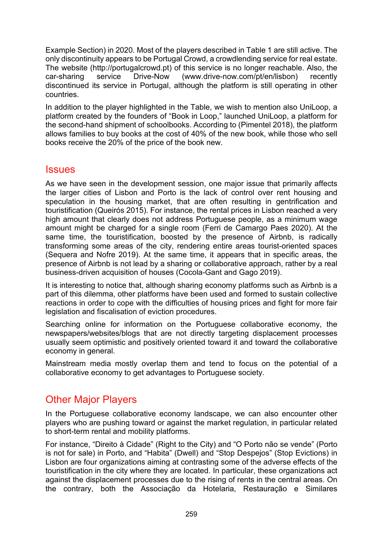Example Section) in 2020. Most of the players described in Table 1 are still active. The only discontinuity appears to be Portugal Crowd, a crowdlending service for real estate. The website ([http://portugalcrowd.pt](http://portugalcrowd.pt/wportcrowd/url/homepage)) of this service is no longer reachable. Also, the car-sharing service Drive-Now (www.drive-[now.com/pt/en/lisbon](https://www.drive-now.com/pt/en/lisbon)) recently discontinued its service in Portugal, although the platform is still operating in other countries.

In addition to the player highlighted in the Table, we wish to mention also UniLoop, a platform created by the founders of "Book in Loop," launched UniLoop, a platform for the second-hand shipment of schoolbooks. According to (Pimentel 2018), the platform allows families to buy books at the cost of 40% of the new book, while those who sell books receive the 20% of the price of the book new.

#### Issues

As we have seen in the development session, one major issue that primarily affects the larger cities of Lisbon and Porto is the lack of control over rent housing and speculation in the housing market, that are often resulting in gentrification and touristification (Queirós 2015). For instance, the rental prices in Lisbon reached a very high amount that clearly does not address Portuguese people, as a minimum wage amount might be charged for a single room (Ferri de Camargo Paes 2020). At the same time, the touristification, boosted by the presence of Airbnb, is radically transforming some areas of the city, rendering entire areas tourist-oriented spaces (Sequera and Nofre 2019). At the same time, it appears that in specific areas, the presence of Airbnb is not lead by a sharing or collaborative approach, rather by a real business-driven acquisition of houses (Cocola-Gant and Gago 2019).

It is interesting to notice that, although sharing economy platforms such as Airbnb is a part of this dilemma, other platforms have been used and formed to sustain collective reactions in order to cope with the difficulties of housing prices and fight for more fair legislation and fiscalisation of eviction procedures.

Searching online for information on the Portuguese collaborative economy, the newspapers/websites/blogs that are not directly targeting displacement processes usually seem optimistic and positively oriented toward it and toward the collaborative economy in general.

Mainstream media mostly overlap them and tend to focus on the potential of a collaborative economy to get advantages to Portuguese society.

# Other Major Players

In the Portuguese collaborative economy landscape, we can also encounter other players who are pushing toward or against the market regulation, in particular related to short-term rental and mobility platforms.

For instance, "Direito à Cidade" (Right to the City) and "O Porto não se vende" (Porto is not for sale) in Porto, and "Habita" (Dwell) and "Stop Despejos" (Stop Evictions) in Lisbon are four organizations aiming at contrasting some of the adverse effects of the touristification in the city where they are located. In particular, these organizations act against the displacement processes due to the rising of rents in the central areas. On the contrary, both the Associação da Hotelaria, Restauração e Similares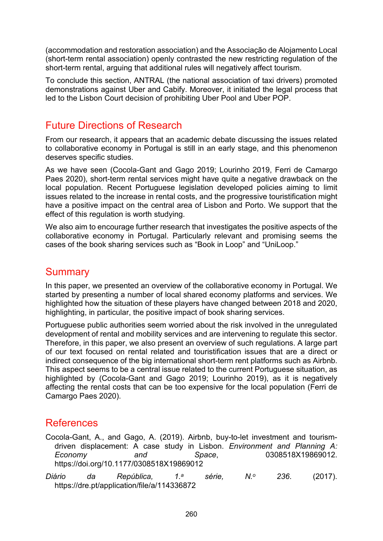(accommodation and restoration association) and the Associação de Alojamento Local (short-term rental association) openly contrasted the new restricting regulation of the short-term rental, arguing that additional rules will negatively affect tourism.

To conclude this section, ANTRAL (the national association of taxi drivers) promoted demonstrations against Uber and Cabify. Moreover, it initiated the legal process that led to the Lisbon Court decision of prohibiting Uber Pool and Uber POP.

### Future Directions of Research

From our research, it appears that an academic debate discussing the issues related to collaborative economy in Portugal is still in an early stage, and this phenomenon deserves specific studies.

As we have seen (Cocola-Gant and Gago 2019; Lourinho 2019, Ferri de Camargo Paes 2020), short-term rental services might have quite a negative drawback on the local population. Recent Portuguese legislation developed policies aiming to limit issues related to the increase in rental costs, and the progressive touristification might have a positive impact on the central area of Lisbon and Porto. We support that the effect of this regulation is worth studying.

We also aim to encourage further research that investigates the positive aspects of the collaborative economy in Portugal. Particularly relevant and promising seems the cases of the book sharing services such as "Book in Loop" and "UniLoop."

### **Summary**

In this paper, we presented an overview of the collaborative economy in Portugal. We started by presenting a number of local shared economy platforms and services. We highlighted how the situation of these players have changed between 2018 and 2020, highlighting, in particular, the positive impact of book sharing services.

Portuguese public authorities seem worried about the risk involved in the unregulated development of rental and mobility services and are intervening to regulate this sector. Therefore, in this paper, we also present an overview of such regulations. A large part of our text focused on rental related and touristification issues that are a direct or indirect consequence of the big international short-term rent platforms such as Airbnb. This aspect seems to be a central issue related to the current Portuguese situation, as highlighted by (Cocola-Gant and Gago 2019; Lourinho 2019), as it is negatively affecting the rental costs that can be too expensive for the local population (Ferri de Camargo Paes 2020).

### References

Cocola-Gant, A., and Gago, A. (2019). Airbnb, buy-to-let investment and tourismdriven displacement: A case study in Lisbon. *Environment and Planning A: Economy and Space*, 0308518X19869012. https://doi.org/10.1177/0308518X19869012

*Diário da República, 1.a série, N.o 236*. (2017). https://dre.pt/application/file/a/114336872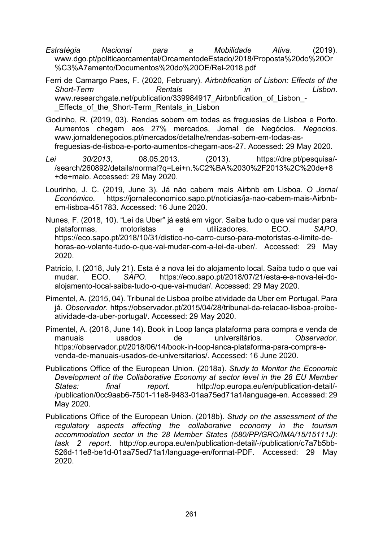- *Estratégia Nacional para a Mobilidade Ativa*. (2019). [www.dgo.pt/politicaorcamental/OrcamentodeEstado/2018/Proposta%20do%20Or](https://www.dgo.pt/politicaorcamental/OrcamentodeEstado/2018/Proposta%20do%20Or%C3%A7amento/Documentos%20do%20OE/Rel-2018.pdf) [%C3%A7amento/Documentos%20do%20OE/Rel](https://www.dgo.pt/politicaorcamental/OrcamentodeEstado/2018/Proposta%20do%20Or%C3%A7amento/Documentos%20do%20OE/Rel-2018.pdf)-2018.pdf
- Ferri de Camargo Paes, F. (2020, February). *Airbnbfication of Lisbon: Effects of the Short-Term Rentals in Lisbon*. www.researchgate.net/publication/339984917 Airbnbfication of Lisbon -Effects of the Short-Term Rentals in Lisbon
- Godinho, R. (2019, 03). Rendas sobem em todas as freguesias de Lisboa e Porto. Aumentos chegam aos 27% mercados, Jornal de Negócios. *Negocios*. www.jornaldenegocios.pt/mercados/detalhe/rendas-sobem-em-todas-asfreguesias-de-lisboa-e-porto-aumentos-chegam-aos-27. Accessed: 29 May 2020.
- *Lei 30/2013*, 08.05.2013. (2013). https://dre.pt/pesquisa/- /search/260892/details/normal?q=Lei+n.%C2%BA%2030%2F2013%2C%20de+8 +de+maio. Accessed: 29 May 2020.
- Lourinho, J. C. (2019, June 3). Já não cabem mais Airbnb em Lisboa. *O Jornal Económico*. https://jornaleconomico.sapo.pt/noticias/ja-nao-cabem-mais-Airbnbem-lisboa-451783. Accessed: 16 June 2020.
- Nunes, F. (2018, 10). "Lei da Uber" já está em vigor. Saiba tudo o que vai mudar para plataformas, motoristas e utilizadores. ECO. *SAPO*. https://eco.sapo.pt/2018/10/31/distico-no-carro-curso-para-motoristas-e-limite-dehoras-ao-volante-tudo-o-que-vai-mudar-com-a-lei-da-uber/. Accessed: 29 May 2020.
- Patricío, I. (2018, July 21). Esta é a nova lei do alojamento local. Saiba tudo o que vai mudar. ECO. *SAPO*. https://eco.sapo.pt/2018/07/21/esta-e-a-nova-lei-doalojamento-local-saiba-tudo-o-que-vai-mudar/. Accessed: 29 May 2020.
- Pimentel, A. (2015, 04). Tribunal de Lisboa proíbe atividade da Uber em Portugal. Para já. *Observador*. https://observador.pt/2015/04/28/tribunal-da-relacao-lisboa-proibeatividade-da-uber-portugal/. Accessed: 29 May 2020.
- Pimentel, A. (2018, June 14). Book in Loop lança plataforma para compra e venda de manuais usados de universitários. *Observador*. https://observador.pt/2018/06/14/book-in-loop-lanca-plataforma-para-compra-evenda-de-manuais-usados-de-universitarios/. Accessed: 16 June 2020.
- Publications Office of the European Union. (2018a). *Study to Monitor the Economic Development of the Collaborative Economy at sector level in the 28 EU Member States: final report*. http://op.europa.eu/en/publication-detail/- /publication/0cc9aab6-7501-11e8-9483-01aa75ed71a1/language-en. Accessed: 29 May 2020.
- Publications Office of the European Union. (2018b). *Study on the assessment of the regulatory aspects affecting the collaborative economy in the tourism accommodation sector in the 28 Member States (580/PP/GRO/IMA/15/15111J): task 2 report*. http://op.europa.eu/en/publication-detail/-/publication/c7a7b5bb-526d-11e8-be1d-01aa75ed71a1/language-en/format-PDF. Accessed: 29 May 2020.